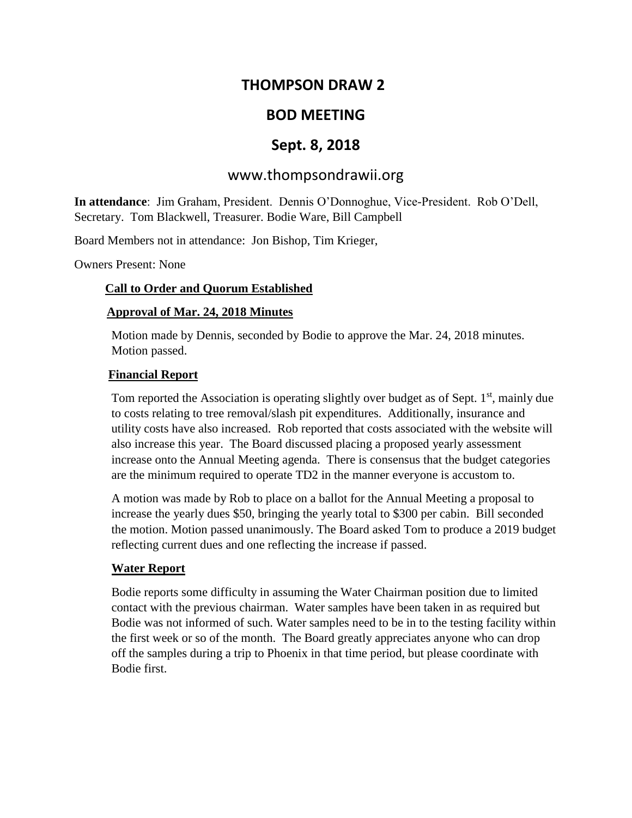# **THOMPSON DRAW 2**

# **BOD MEETING**

# **Sept. 8, 2018**

# www.thompsondrawii.org

**In attendance**: Jim Graham, President. Dennis O'Donnoghue, Vice-President. Rob O'Dell, Secretary. Tom Blackwell, Treasurer. Bodie Ware, Bill Campbell

Board Members not in attendance: Jon Bishop, Tim Krieger,

Owners Present: None

#### **Call to Order and Quorum Established**

#### **Approval of Mar. 24, 2018 Minutes**

Motion made by Dennis, seconded by Bodie to approve the Mar. 24, 2018 minutes. Motion passed.

#### **Financial Report**

Tom reported the Association is operating slightly over budget as of Sept.  $1<sup>st</sup>$ , mainly due to costs relating to tree removal/slash pit expenditures. Additionally, insurance and utility costs have also increased. Rob reported that costs associated with the website will also increase this year. The Board discussed placing a proposed yearly assessment increase onto the Annual Meeting agenda. There is consensus that the budget categories are the minimum required to operate TD2 in the manner everyone is accustom to.

A motion was made by Rob to place on a ballot for the Annual Meeting a proposal to increase the yearly dues \$50, bringing the yearly total to \$300 per cabin. Bill seconded the motion. Motion passed unanimously. The Board asked Tom to produce a 2019 budget reflecting current dues and one reflecting the increase if passed.

#### **Water Report**

Bodie reports some difficulty in assuming the Water Chairman position due to limited contact with the previous chairman. Water samples have been taken in as required but Bodie was not informed of such. Water samples need to be in to the testing facility within the first week or so of the month. The Board greatly appreciates anyone who can drop off the samples during a trip to Phoenix in that time period, but please coordinate with Bodie first.